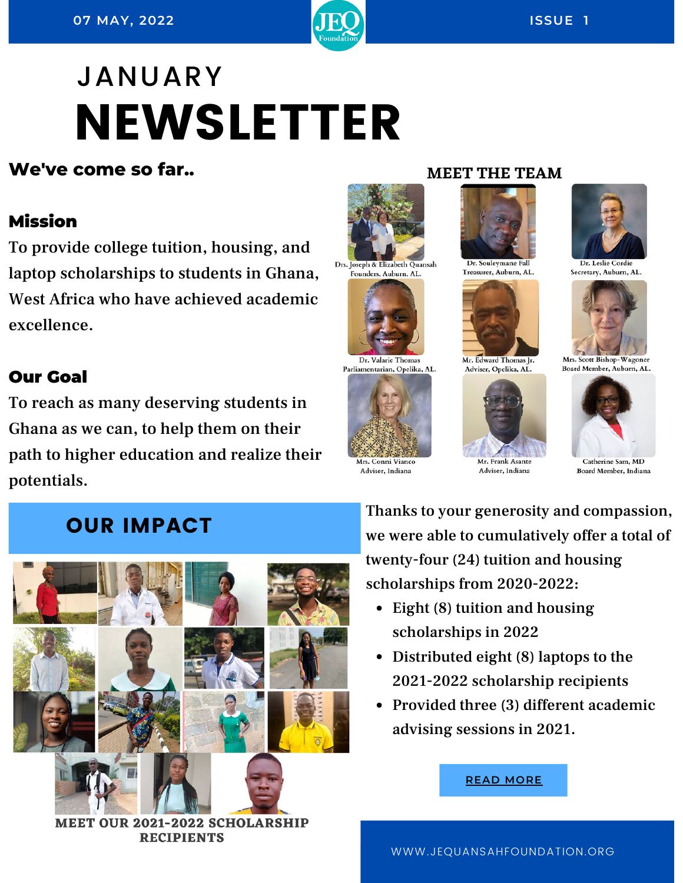

# JANUARY NEWSLETTER

#### **We've come so far..**

#### Mission

To provide college tuition, housing, and laptop scholarships to students in Ghana, West Africa who have achieved academic excellence.

#### Our Goal

To reach as many deserving students in Ghana as we can, to help them on their path to higher education and realize their potentials.

Drs. Joseph & Elizabeth Quansah Founders, Auburn, AL.





Mrs. Conni Vianco Adviser, Indiana

# Dr. Souleymane Fal

**MEET THE TEAM** 

Treasurer, Auburn, AL.



Adviser, Opelika, AL.



Adviser, Indiana



Secretary, Auburn, AL.



Mrs. Scott Bishop-Wagoner Board Member, Auburn, AL.



Catherine Sam, MD Board Member, Indiana

### OUR IMPACT



MEET OUR 2021-2022 SCHOLARSHIP **RECIPIENTS** 

Thanks to your generosity and compassion, we were able to cumulatively offer a total of twenty-four (24) tuition and housing scholarships from 2020-2022:

- Eight  $(8)$  tuition and housing scholarships in 2022
- Distributed eight (8) laptops to the 2021-2022 scholarship recipients
- Provided three (3) different academic advising sessions in 2021.



WWW.JEQUANSAHFOUNDATION.ORG